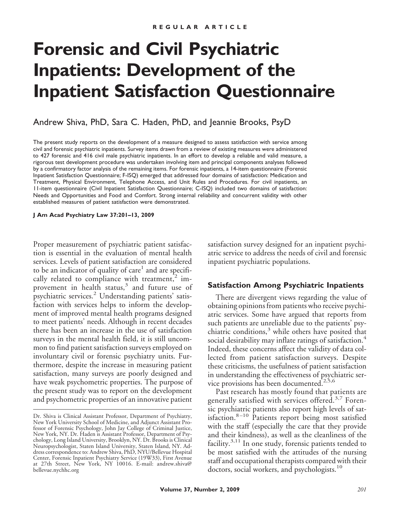# **Forensic and Civil Psychiatric Inpatients: Development of the Inpatient Satisfaction Questionnaire**

Andrew Shiva, PhD, Sara C. Haden, PhD, and Jeannie Brooks, PsyD

The present study reports on the development of a measure designed to assess satisfaction with service among civil and forensic psychiatric inpatients. Survey items drawn from a review of existing measures were administered to 427 forensic and 416 civil male psychiatric inpatients. In an effort to develop a reliable and valid measure, a rigorous test development procedure was undertaken involving item and principal components analyses followed by a confirmatory factor analysis of the remaining items. For forensic inpatients, a 14-item questionnaire (Forensic Inpatient Satisfaction Questionnaire; F-ISQ) emerged that addressed four domains of satisfaction: Medication and Treatment, Physical Environment, Telephone Access, and Unit Rules and Procedures. For civil inpatients, an 11-item questionnaire (Civil Inpatient Satisfaction Questionnaire; C-ISQ) included two domains of satisfaction: Needs and Opportunities and Food and Comfort. Strong internal reliability and concurrent validity with other established measures of patient satisfaction were demonstrated.

**J Am Acad Psychiatry Law 37:201–13, 2009**

Proper measurement of psychiatric patient satisfaction is essential in the evaluation of mental health services. Levels of patient satisfaction are considered to be an indicator of quality of care<sup>1</sup> and are specifically related to compliance with treatment, $2 \text{ im}$ provement in health status,<sup>3</sup> and future use of psychiatric services.<sup>2</sup> Understanding patients' satisfaction with services helps to inform the development of improved mental health programs designed to meet patients' needs. Although in recent decades there has been an increase in the use of satisfaction surveys in the mental health field, it is still uncommon to find patient satisfaction surveys employed on involuntary civil or forensic psychiatry units. Furthermore, despite the increase in measuring patient satisfaction, many surveys are poorly designed and have weak psychometric properties. The purpose of the present study was to report on the development and psychometric properties of an innovative patient

satisfaction survey designed for an inpatient psychiatric service to address the needs of civil and forensic inpatient psychiatric populations.

# **Satisfaction Among Psychiatric Inpatients**

There are divergent views regarding the value of obtaining opinions from patients who receive psychiatric services. Some have argued that reports from such patients are unreliable due to the patients' psychiatric conditions, $3$  while others have posited that social desirability may inflate ratings of satisfaction.<sup>4</sup> Indeed, these concerns affect the validity of data collected from patient satisfaction surveys. Despite these criticisms, the usefulness of patient satisfaction in understanding the effectiveness of psychiatric service provisions has been documented.<sup>2,5,6</sup>

Past research has mostly found that patients are generally satisfied with services offered.<sup>3,7</sup> Forensic psychiatric patients also report high levels of satisfaction. $8-10$  Patients report being most satisfied with the staff (especially the care that they provide and their kindness), as well as the cleanliness of the facility. $3,11$  In one study, forensic patients tended to be most satisfied with the attitudes of the nursing staff and occupational therapists compared with their doctors, social workers, and psychologists.<sup>10</sup>

Dr. Shiva is Clinical Assistant Professor, Department of Psychiatry, New York University School of Medicine, and Adjunct Assistant Professor of Forensic Psychology, John Jay College of Criminal Justice, New York, NY. Dr. Haden is Assistant Professor, Department of Psychology, Long Island University, Brooklyn, NY. Dr. Brooks is Clinical Neuropsychologist, Staten Island University, Staten Island, NY. Address correspondence to: Andrew Shiva, PhD, NYU/Bellevue Hospital Center, Forensic Inpatient Psychiatry Service (19W33), First Avenue at 27th Street, New York, NY 10016. E-mail: andrew.shiva@ bellevue.nychhc.org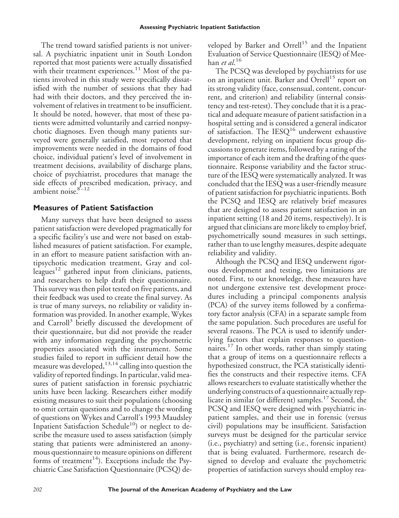The trend toward satisfied patients is not universal. A psychiatric inpatient unit in South London reported that most patients were actually dissatisfied with their treatment experiences.<sup>11</sup> Most of the patients involved in this study were specifically dissatisfied with the number of sessions that they had had with their doctors, and they perceived the involvement of relatives in treatment to be insufficient. It should be noted, however, that most of these patients were admitted voluntarily and carried nonpsychotic diagnoses. Even though many patients surveyed were generally satisfied, most reported that improvements were needed in the domains of food choice, individual patient's level of involvement in treatment decisions, availability of discharge plans, choice of psychiatrist, procedures that manage the side effects of prescribed medication, privacy, and ambient noise. $8-12$ 

## **Measures of Patient Satisfaction**

Many surveys that have been designed to assess patient satisfaction were developed pragmatically for a specific facility's use and were not based on established measures of patient satisfaction. For example, in an effort to measure patient satisfaction with antipsychotic medication treatment, Gray and colleagues<sup>12</sup> gathered input from clinicians, patients, and researchers to help draft their questionnaire. This survey was then pilot tested on five patients, and their feedback was used to create the final survey. As is true of many surveys, no reliability or validity information was provided. In another example, Wykes and Carroll<sup>3</sup> briefly discussed the development of their questionnaire, but did not provide the reader with any information regarding the psychometric properties associated with the instrument. Some studies failed to report in sufficient detail how the measure was developed,  $13,14$  calling into question the validity of reported findings. In particular, valid measures of patient satisfaction in forensic psychiatric units have been lacking. Researchers either modify existing measures to suit their populations (choosing to omit certain questions and to change the wording of questions on Wykes and Carroll's 1993 Maudsley Inpatient Satisfaction Schedule<sup>10</sup>) or neglect to describe the measure used to assess satisfaction (simply stating that patients were administered an anonymous questionnaire to measure opinions on different forms of treatment<sup>14</sup>). Exceptions include the Psychiatric Case Satisfaction Questionnaire (PCSQ) developed by Barker and Orrell<sup>15</sup> and the Inpatient Evaluation of Service Questionnaire (IESQ) of Meehan *et al*. 16

The PCSQ was developed by psychiatrists for use on an inpatient unit. Barker and Orrell<sup>15</sup> report on its strong validity (face, consensual, content, concurrent, and criterion) and reliability (internal consistency and test-retest). They conclude that it is a practical and adequate measure of patient satisfaction in a hospital setting and is considered a general indicator of satisfaction. The  $IESQ<sup>16</sup>$  underwent exhaustive development, relying on inpatient focus group discussions to generate items, followed by a rating of the importance of each item and the drafting of the questionnaire. Response variability and the factor structure of the IESQ were systematically analyzed. It was concluded that the IESQ was a user-friendly measure of patient satisfaction for psychiatric inpatients. Both the PCSQ and IESQ are relatively brief measures that are designed to assess patient satisfaction in an inpatient setting (18 and 20 items, respectively). It is argued that clinicians are more likely to employ brief, psychometrically sound measures in such settings, rather than to use lengthy measures, despite adequate reliability and validity.

Although the PCSQ and IESQ underwent rigorous development and testing, two limitations are noted. First, to our knowledge, these measures have not undergone extensive test development procedures including a principal components analysis (PCA) of the survey items followed by a confirmatory factor analysis (CFA) in a separate sample from the same population. Such procedures are useful for several reasons. The PCA is used to identify underlying factors that explain responses to questionnaires.<sup>17</sup> In other words, rather than simply stating that a group of items on a questionnaire reflects a hypothesized construct, the PCA statistically identifies the constructs and their respective items. CFA allows researchers to evaluate statistically whether the underlying constructs of a questionnaire actually replicate in similar (or different) samples.<sup>17</sup> Second, the PCSQ and IESQ were designed with psychiatric inpatient samples, and their use in forensic (versus civil) populations may be insufficient. Satisfaction surveys must be designed for the particular service (i.e., psychiatry) and setting (i.e., forensic inpatient) that is being evaluated. Furthermore, research designed to develop and evaluate the psychometric properties of satisfaction surveys should employ rea-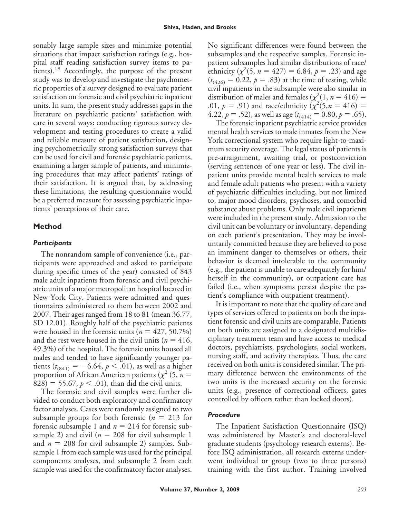sonably large sample sizes and minimize potential situations that impact satisfaction ratings (e.g., hospital staff reading satisfaction survey items to patients).<sup>18</sup> Accordingly, the purpose of the present study was to develop and investigate the psychometric properties of a survey designed to evaluate patient satisfaction on forensic and civil psychiatric inpatient units. In sum, the present study addresses gaps in the literature on psychiatric patients' satisfaction with care in several ways: conducting rigorous survey development and testing procedures to create a valid and reliable measure of patient satisfaction, designing psychometrically strong satisfaction surveys that can be used for civil and forensic psychiatric patients, examining a larger sample of patients, and minimizing procedures that may affect patients' ratings of their satisfaction. It is argued that, by addressing these limitations, the resulting questionnaire would be a preferred measure for assessing psychiatric inpatients' perceptions of their care.

# **Method**

## *Participants*

The nonrandom sample of convenience (i.e., participants were approached and asked to participate during specific times of the year) consisted of 843 male adult inpatients from forensic and civil psychiatric units of a major metropolitan hospital located in New York City. Patients were admitted and questionnaires administered to them between 2002 and 2007. Their ages ranged from 18 to 81 (mean 36.77, SD 12.01). Roughly half of the psychiatric patients were housed in the forensic units  $(n = 427, 50.7\%)$ and the rest were housed in the civil units ( $n = 416$ , 49.3%) of the hospital. The forensic units housed all males and tended to have significantly younger patients  $(t_{(841)} = -6.64, p < .01)$ , as well as a higher proportion of African American patients ( $\chi^2$  (5, *n* = 828) = 55.67,  $p < .01$ ), than did the civil units.

The forensic and civil samples were further divided to conduct both exploratory and confirmatory factor analyses. Cases were randomly assigned to two subsample groups for both forensic  $(n = 213$  for forensic subsample 1 and  $n = 214$  for forensic subsample 2) and civil ( $n = 208$  for civil subsample 1 and  $n = 208$  for civil subsample 2) samples. Subsample 1 from each sample was used for the principal components analyses, and subsample 2 from each sample was used for the confirmatory factor analyses. No significant differences were found between the subsamples and the respective samples. Forensic inpatient subsamples had similar distributions of race/ ethnicity ( $\chi^2(5, n = 427) = 6.84, p = .23$ ) and age  $(t_{(426)} = 0.22, p = .83)$  at the time of testing, while civil inpatients in the subsample were also similar in distribution of males and females ( $\chi^2(1, n = 416)$  = .01,  $p = .91$ ) and race/ethnicity ( $\chi^2(5, n = 416) =$ 4.22,  $p = .52$ ), as well as age ( $t_{(414)} = 0.80$ ,  $p = .65$ ).

The forensic inpatient psychiatric service provides mental health services to male inmates from the New York correctional system who require light-to-maximum security coverage. The legal status of patients is pre-arraignment, awaiting trial, or postconviction (serving sentences of one year or less). The civil inpatient units provide mental health services to male and female adult patients who present with a variety of psychiatric difficulties including, but not limited to, major mood disorders, psychoses, and comorbid substance abuse problems. Only male civil inpatients were included in the present study. Admission to the civil unit can be voluntary or involuntary, depending on each patient's presentation. They may be involuntarily committed because they are believed to pose an imminent danger to themselves or others, their behavior is deemed intolerable to the community (e.g., the patient is unable to care adequately for him/ herself in the community), or outpatient care has failed (i.e., when symptoms persist despite the patient's compliance with outpatient treatment).

It is important to note that the quality of care and types of services offered to patients on both the inpatient forensic and civil units are comparable. Patients on both units are assigned to a designated multidisciplinary treatment team and have access to medical doctors, psychiatrists, psychologists, social workers, nursing staff, and activity therapists. Thus, the care received on both units is considered similar. The primary difference between the environments of the two units is the increased security on the forensic units (e.g., presence of correctional officers, gates controlled by officers rather than locked doors).

## *Procedure*

The Inpatient Satisfaction Questionnaire (ISQ) was administered by Master's and doctoral-level graduate students (psychology research externs). Before ISQ administration, all research externs underwent individual or group (two to three persons) training with the first author. Training involved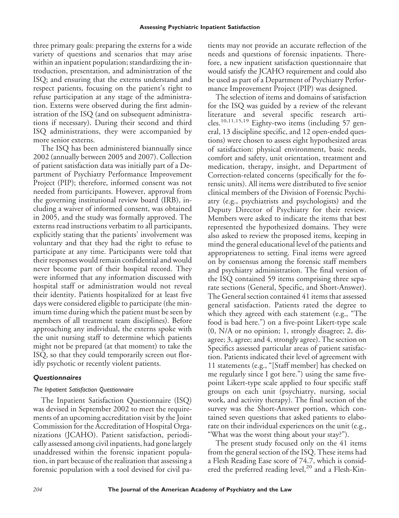three primary goals: preparing the externs for a wide variety of questions and scenarios that may arise within an inpatient population; standardizing the introduction, presentation, and administration of the ISQ; and ensuring that the externs understand and respect patients, focusing on the patient's right to refuse participation at any stage of the administration. Externs were observed during the first administration of the ISQ (and on subsequent administrations if necessary). During their second and third ISQ administrations, they were accompanied by more senior externs.

The ISQ has been administered biannually since 2002 (annually between 2005 and 2007). Collection of patient satisfaction data was initially part of a Department of Psychiatry Performance Improvement Project (PIP); therefore, informed consent was not needed from participants. However, approval from the governing institutional review board (IRB), including a waiver of informed consent, was obtained in 2005, and the study was formally approved. The externs read instructions verbatim to all participants, explicitly stating that the patients' involvement was voluntary and that they had the right to refuse to participate at any time. Participants were told that their responses would remain confidential and would never become part of their hospital record. They were informed that any information discussed with hospital staff or administration would not reveal their identity. Patients hospitalized for at least five days were considered eligible to participate (the minimum time during which the patient must be seen by members of all treatment team disciplines). Before approaching any individual, the externs spoke with the unit nursing staff to determine which patients might not be prepared (at that moment) to take the ISQ, so that they could temporarily screen out floridly psychotic or recently violent patients.

# *Questionnaires*

## *The Inpatient Satisfaction Questionnaire*

The Inpatient Satisfaction Questionnaire (ISQ) was devised in September 2002 to meet the requirements of an upcoming accreditation visit by the Joint Commission for the Accreditation of Hospital Organizations (JCAHO). Patient satisfaction, periodically assessed among civil inpatients, had gone largely unaddressed within the forensic inpatient population, in part because of the realization that assessing a forensic population with a tool devised for civil patients may not provide an accurate reflection of the needs and questions of forensic inpatients. Therefore, a new inpatient satisfaction questionnaire that would satisfy the JCAHO requirement and could also be used as part of a Department of Psychiatry Performance Improvement Project (PIP) was designed.

The selection of items and domains of satisfaction for the ISQ was guided by a review of the relevant literature and several specific research articles.10,11,15,19 Eighty-two items (including 57 general, 13 discipline specific, and 12 open-ended questions) were chosen to assess eight hypothesized areas of satisfaction: physical environment, basic needs, comfort and safety, unit orientation, treatment and medication, therapy, insight, and Department of Correction-related concerns (specifically for the forensic units). All items were distributed to five senior clinical members of the Division of Forensic Psychiatry (e.g., psychiatrists and psychologists) and the Deputy Director of Psychiatry for their review. Members were asked to indicate the items that best represented the hypothesized domains. They were also asked to review the proposed items, keeping in mind the general educational level of the patients and appropriateness to setting. Final items were agreed on by consensus among the forensic staff members and psychiatry administration. The final version of the ISQ contained 59 items comprising three separate sections (General, Specific, and Short-Answer). The General section contained 41 items that assessed general satisfaction. Patients rated the degree to which they agreed with each statement (e.g., "The food is bad here.") on a five-point Likert-type scale (0, N/A or no opinion; 1, strongly disagree; 2, disagree; 3, agree; and 4, strongly agree). The section on Specifics assessed particular areas of patient satisfaction. Patients indicated their level of agreement with 11 statements (e.g., "[Staff member] has checked on me regularly since I got here.") using the same fivepoint Likert-type scale applied to four specific staff groups on each unit (psychiatry, nursing, social work, and activity therapy). The final section of the survey was the Short-Answer portion, which contained seven questions that asked patients to elaborate on their individual experiences on the unit (e.g., "What was the worst thing about your stay?").

The present study focused only on the 41 items from the general section of the ISQ. These items had a Flesh Reading Ease score of 74.7, which is considered the preferred reading level,<sup>20</sup> and a Flesh-Kin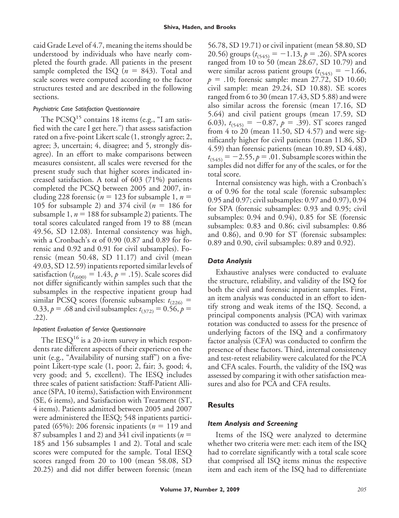caid Grade Level of 4.7, meaning the items should be understood by individuals who have nearly completed the fourth grade. All patients in the present sample completed the ISQ  $(n = 843)$ . Total and scale scores were computed according to the factor structures tested and are described in the following sections.

#### *Psychiatric Case Satisfaction Questionnaire*

The PCSQ<sup>15</sup> contains 18 items (e.g., "I am satisfied with the care I get here.") that assess satisfaction rated on a five-point Likert scale (1, strongly agree; 2, agree; 3, uncertain; 4, disagree; and 5, strongly disagree). In an effort to make comparisons between measures consistent, all scales were reversed for the present study such that higher scores indicated increased satisfaction. A total of 603 (71%) patients completed the PCSQ between 2005 and 2007, including 228 forensic ( $n = 123$  for subsample 1,  $n =$ 105 for subsample 2) and 374 civil  $(n = 186$  for subsample 1,  $n = 188$  for subsample 2) patients. The total scores calculated ranged from 19 to 88 (mean 49.56, SD 12.08). Internal consistency was high, with a Cronbach's  $\alpha$  of 0.90 (0.87 and 0.89 for forensic and 0.92 and 0.91 for civil subsamples). Forensic (mean 50.48, SD 11.17) and civil (mean 49.03, SD 12.59) inpatients reported similar levels of satisfaction ( $t_{(600)} = 1.43$ ,  $p = .15$ ). Scale scores did not differ significantly within samples such that the subsamples in the respective inpatient group had similar PCSQ scores (forensic subsamples:  $t_{(226)}$  = 0.33,  $p = .68$  and civil subsamples:  $t_{(372)} = 0.56$ ,  $p =$ .22).

## *Inpatient Evaluation of Service Questionnaire*

The IESQ<sup>16</sup> is a 20-item survey in which respondents rate different aspects of their experience on the unit (e.g., "Availability of nursing staff") on a fivepoint Likert-type scale (1, poor; 2, fair; 3, good; 4, very good; and 5, excellent). The IESQ includes three scales of patient satisfaction: Staff-Patient Alliance (SPA, 10 items), Satisfaction with Environment (SE, 6 items), and Satisfaction with Treatment (ST, 4 items). Patients admitted between 2005 and 2007 were administered the IESQ; 548 inpatients participated (65%): 206 forensic inpatients ( $n = 119$  and 87 subsamples 1 and 2) and 341 civil inpatients (*n* 185 and 156 subsamples 1 and 2). Total and scale scores were computed for the sample. Total IESQ scores ranged from 20 to 100 (mean 58.08, SD 20.25) and did not differ between forensic (mean

56.78, SD 19.71) or civil inpatient (mean 58.80, SD 20.56) groups  $(t_{(545)} = -1.13, p = .26)$ . SPA scores ranged from 10 to 50 (mean 28.67, SD 10.79) and were similar across patient groups  $(t_{(545)} = -1.66,$  $p = .10$ ; forensic sample: mean 27.72, SD 10.60; civil sample: mean 29.24, SD 10.88). SE scores ranged from 6 to 30 (mean 17.43, SD 5.88) and were also similar across the forensic (mean 17.16, SD 5.64) and civil patient groups (mean 17.59, SD 6.03),  $t_{(545)} = -0.87$ ,  $p = .39$ ). ST scores ranged from 4 to 20 (mean 11.50, SD 4.57) and were significantly higher for civil patients (mean 11.86, SD 4.59) than forensic patients (mean 10.89, SD 4.48),  $t_{(545)} = -2.55$ ,  $p = .01$ . Subsample scores within the samples did not differ for any of the scales, or for the total score.

Internal consistency was high, with a Cronbach's  $\alpha$  of 0.96 for the total scale (forensic subsamples: 0.95 and 0.97; civil subsamples: 0.97 and 0.97), 0.94 for SPA (forensic subsamples: 0.93 and 0.95; civil subsamples: 0.94 and 0.94), 0.85 for SE (forensic subsamples: 0.83 and 0.86; civil subsamples: 0.86 and 0.86), and 0.90 for ST (forensic subsamples: 0.89 and 0.90, civil subsamples: 0.89 and 0.92).

## *Data Analysis*

Exhaustive analyses were conducted to evaluate the structure, reliability, and validity of the ISQ for both the civil and forensic inpatient samples. First, an item analysis was conducted in an effort to identify strong and weak items of the ISQ. Second, a principal components analysis (PCA) with varimax rotation was conducted to assess for the presence of underlying factors of the ISQ and a confirmatory factor analysis (CFA) was conducted to confirm the presence of these factors. Third, internal consistency and test-retest reliability were calculated for the PCA and CFA scales. Fourth, the validity of the ISQ was assessed by comparing it with other satisfaction measures and also for PCA and CFA results.

# **Results**

## *Item Analysis and Screening*

Items of the ISQ were analyzed to determine whether two criteria were met: each item of the ISQ had to correlate significantly with a total scale score that comprised all ISQ items minus the respective item and each item of the ISQ had to differentiate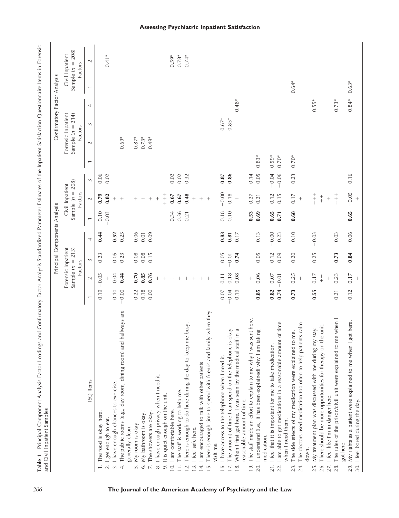|                  |                                                                                         |                          |                                       | Principal Components Analysis                       |         |      |                                                  |            |                |                                                     | Confirmatory Factor Analysis |                          |                                                  |  |
|------------------|-----------------------------------------------------------------------------------------|--------------------------|---------------------------------------|-----------------------------------------------------|---------|------|--------------------------------------------------|------------|----------------|-----------------------------------------------------|------------------------------|--------------------------|--------------------------------------------------|--|
|                  |                                                                                         |                          |                                       | Forensic Inpatient<br>Sample $(n = 213)$<br>Factors |         |      | Sample $(n = 208)$<br>Civil Inpatient<br>Factors |            |                | Forensic Inpatient<br>Sample $(n = 214)$<br>Factors |                              |                          | Sample $(n = 208)$<br>Civil Inpatient<br>Factors |  |
|                  | ISQ Items                                                                               | $\overline{\phantom{0}}$ | $\sim$                                | $\sim$                                              | 4       |      | $\sim$                                           | $\sim$     | $\overline{ }$ | $\sim$                                              | 4<br>3                       | $\overline{\phantom{0}}$ | $\sim$                                           |  |
|                  | The food is okay here.                                                                  | 0.19                     | $-0.05$                               | 0.23                                                | 0.44    | 0.10 | 0.79                                             | 0.06       |                |                                                     |                              |                          |                                                  |  |
| $\overline{c}$ . | I get enough to eat.                                                                    |                          |                                       |                                                     |         | 0.03 | 0.82                                             | 0.02       |                |                                                     |                              |                          | $0.41*$                                          |  |
|                  | 3. I have enough chances to exercise.                                                   | 0.10                     | 0.04                                  | 0.05                                                | 0.52    |      | $^{+}$                                           |            |                |                                                     |                              |                          |                                                  |  |
|                  | hallways are<br>4. The public rooms (e.g., day room, dining room) and                   | $-0.00$                  | 0.44                                  | 0.23                                                | 0.25    |      | $^{+}$                                           |            |                | $0.69*$                                             |                              |                          |                                                  |  |
| $\overline{5}$   | My room is okay.<br>generally clean.                                                    | 0.22                     | 0.70                                  | 0.08                                                | 0.06    |      | $+$                                              |            |                | $0.87*$                                             |                              |                          |                                                  |  |
|                  | 6. My bathroom is okay.                                                                 | 0.18                     | 0.85                                  | 0.08                                                | 0.01    |      |                                                  |            |                | $0.73*$                                             |                              |                          |                                                  |  |
|                  | 7. The showers are okay.                                                                | 0.00                     | 0.76                                  | 0.15                                                | 0.09    |      |                                                  |            |                | $0.49*$                                             |                              |                          |                                                  |  |
|                  | 8. I have enough privacy when I need it.                                                |                          | $\! + \!$                             |                                                     |         |      | $^{+}$                                           |            |                |                                                     |                              |                          |                                                  |  |
|                  | 9. It is quiet enough on the unit.                                                      |                          | $^{+}$                                |                                                     |         |      | $+$<br>+<br>+                                    |            |                |                                                     |                              |                          |                                                  |  |
|                  | 10. I am comfortable here.                                                              |                          | $^{+}$                                |                                                     |         | 0.34 | 0.67                                             | 0.02       |                |                                                     |                              |                          | $0.59*$                                          |  |
|                  | 11. The staff is working to help me.                                                    |                          | $^{+}$                                |                                                     |         | 0.36 | $0.67\,$                                         | 0.02       |                |                                                     |                              |                          | $0.78*$                                          |  |
| 12.              | There is enough to do here during the day to keep me busy.                              |                          |                                       |                                                     |         | 0.21 | 0.48                                             | 0.32       |                |                                                     |                              |                          | $0.74*$                                          |  |
|                  | 13. I feel safe here.                                                                   |                          | $^{+}$                                |                                                     |         |      | $^{+}$                                           |            |                |                                                     |                              |                          |                                                  |  |
|                  | 14. I am encouraged to talk with other patients                                         |                          |                                       |                                                     |         |      |                                                  |            |                |                                                     |                              |                          |                                                  |  |
| 15.              | There is enough time to spend with friends and family when they                         |                          | $^{+}$                                |                                                     |         |      | $^{+}$                                           |            |                |                                                     |                              |                          |                                                  |  |
|                  | visit me.                                                                               |                          |                                       |                                                     |         |      |                                                  |            |                |                                                     |                              |                          |                                                  |  |
|                  | 16. I have access to the telephone when I need it.                                      | $0.07$                   | 0.11                                  | 0.05                                                | 0.83    | 0.18 | $-0.00$                                          | $\!0.87\!$ |                |                                                     | $0.67*$                      |                          |                                                  |  |
|                  | okay.<br>17. The amount of time I can spend on the telephone is                         | $-0.04$                  | 0.18                                  | 0.01                                                | 0.81    | 0.10 | 0.18                                             | 0.86       |                |                                                     | $0.85*$                      |                          |                                                  |  |
| $\frac{8}{18}$   | € uị<br>When I first got here, I was seen by the medical staff                          | 0.19                     | 0.08                                  | 0.74                                                | 0.17    |      |                                                  |            |                |                                                     | $0.48*$                      |                          |                                                  |  |
|                  | reasonable amount of time.                                                              |                          |                                       |                                                     |         |      |                                                  |            |                |                                                     |                              |                          |                                                  |  |
| 19.              | The staff made an effort to explain to me why I was sent here.                          |                          | $^{+}$                                |                                                     |         | 0.53 | 0.27                                             | 0.14       |                |                                                     |                              |                          |                                                  |  |
|                  | 20. I understand (i.e., it has been explained) why I am taking<br>medication.           | 0.85                     | 0.06                                  | 0.05                                                | 0.13    | 0.69 | 0.21                                             | $-0.05$    | $0.83*$        |                                                     |                              |                          |                                                  |  |
| 21.              | I feel that it is important for me to take medication.                                  | 0.82                     | 0.07                                  | 0.12                                                | $-0.00$ | 0.65 | 0.12                                             | $-0.04$    | $0.59*$        |                                                     |                              |                          |                                                  |  |
|                  | of time<br>22. I am able to get medications in a reasonable amount<br>when I need them. | 0.74                     | $-0.01$                               | 0.09                                                | 0.23    | 0.71 | 0.15                                             | $-0.06$    | $0.70*$        |                                                     |                              |                          |                                                  |  |
| 23.              | me.<br>The side effects of my medication were explained to                              | 0.73                     | 0.25                                  | 0.20                                                | 0.10    | 0.68 | 0.17                                             | 0.23       | $0.70*$        |                                                     |                              | $0.64*$                  |                                                  |  |
| 24.              | The doctors used medication too often to help patients calm<br>down.                    |                          | $^{+}$                                |                                                     |         |      | $^{+}$                                           |            |                |                                                     |                              |                          |                                                  |  |
| 25.              | stay.<br>My treatment plan was discussed with me during my                              | 0.55                     | 0.17                                  | 0.25                                                | $-0.03$ |      | $\begin{array}{c} + \\ + \\ + \end{array}$       |            |                |                                                     | $0.55*$                      |                          |                                                  |  |
| 26.              | There should be more opportunities for therapy on the unit.                             |                          | $\begin{array}{c} + \\ + \end{array}$ |                                                     |         |      | $+$                                              |            |                |                                                     |                              |                          |                                                  |  |
|                  | 27. I feel like I'm in danger here.                                                     |                          | $^{+}$                                |                                                     |         |      | $^{+}$                                           |            |                |                                                     |                              |                          |                                                  |  |
| 28.              | The rules of the prison/civil unit were explained to me when I<br>got here.             | 0.21                     | 0.23                                  | 0.73                                                | 0.03    |      | $+$                                              |            |                |                                                     | $0.73*$                      |                          |                                                  |  |
|                  | 29. My rights as a patient were explained to me when I got here.                        | 0.12                     | 0.17                                  | 0.84                                                | 0.06    | 0.65 | $-0.05$                                          | 0.16       |                |                                                     | $0.84*$                      | $0.63*$                  |                                                  |  |
|                  | 30. I feel bored during the day                                                         |                          | $^{+}$                                |                                                     |         |      | $^{+}$                                           |            |                |                                                     |                              |                          |                                                  |  |
|                  |                                                                                         |                          |                                       |                                                     |         |      |                                                  |            |                |                                                     |                              |                          |                                                  |  |

# **Assessing Psychiatric Inpatient Satisfaction**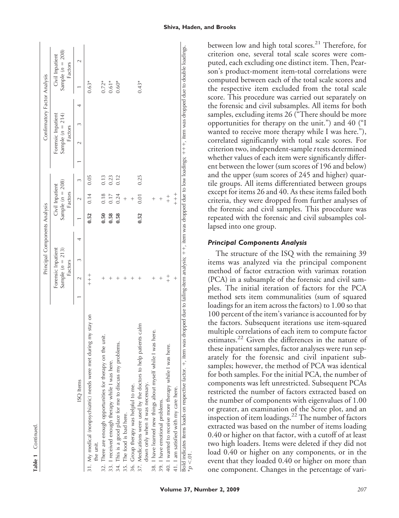|                                                                                                    |                          | Principal Components Analysis                         |   |      |                                                  |      |  |                                                     | Confirmatory Factor Analysis |                                                  |
|----------------------------------------------------------------------------------------------------|--------------------------|-------------------------------------------------------|---|------|--------------------------------------------------|------|--|-----------------------------------------------------|------------------------------|--------------------------------------------------|
|                                                                                                    |                          | Forensic Inpatient<br>Sample ( $n = 213$ )<br>Factors |   |      | Sample $(n = 208)$<br>Civil Inpatient<br>Factors |      |  | Forensic Inpatient<br>Sample $(n = 214)$<br>Factors |                              | Sample $(n = 208)$<br>Civil Inpatient<br>Factors |
| ISQ Items                                                                                          | $\overline{\mathcal{C}}$ |                                                       | 4 |      |                                                  | 3    |  |                                                     |                              |                                                  |
| 31. My medical (nonpsychiatric) needs were met during my stay on<br>the unit.                      | $+$<br>+<br>+            |                                                       |   | 0.52 | 0.14                                             | 0.05 |  |                                                     | $0.63*$                      |                                                  |
| 32. There are enough opportunities for therapy on the unit.                                        |                          |                                                       |   | 0.50 | 0.18                                             | 0.13 |  |                                                     | $0.72*$                      |                                                  |
| 33. I received enough therapy while I was here.                                                    |                          |                                                       |   | 0.58 | 0.17                                             | 0.23 |  |                                                     | $0.61*$                      |                                                  |
| 34. This is a good place for me to discuss my problems.                                            |                          |                                                       |   | 0.58 | 0.24                                             | 0.12 |  |                                                     | $0.60*$                      |                                                  |
| 35. The food is bad here.                                                                          |                          |                                                       |   |      |                                                  |      |  |                                                     |                              |                                                  |
| 36. Group therapy was helpful to me.                                                               |                          |                                                       |   |      |                                                  |      |  |                                                     |                              |                                                  |
| 37. Medications were used by the doctors to help patients calm<br>down only when it was necessary. |                          |                                                       |   | 0.52 | 0.01                                             | 0.25 |  |                                                     | $0.43*$                      |                                                  |
| here.<br>38. I have learned new things about myself while I was I                                  |                          |                                                       |   |      | $\, +$                                           |      |  |                                                     |                              |                                                  |
| 39. I have emotional problems.                                                                     |                          |                                                       |   |      |                                                  |      |  |                                                     |                              |                                                  |
| 40. I wanted to receive more therapy while I was here.                                             | $+$                      |                                                       |   |      | $+$                                              |      |  |                                                     |                              |                                                  |
| 41. I am satisfied with my care here.                                                              |                          |                                                       |   |      | $+$<br>+ +                                       |      |  |                                                     |                              |                                                  |

**Table1** Continued

between low and high total scores.<sup>21</sup> Therefore, for criterion one, several total scale scores were computed, each excluding one distinct item. Then, Pearson's product-moment item-total correlations were computed between each of the total scale scores and the respective item excluded from the total scale score. This procedure was carried out separately on the forensic and civil subsamples. All items for both samples, excluding items 26 ("There should be more opportunities for therapy on the unit.") and 40 ("I wanted to receive more therapy while I was here."), correlated significantly with total scale scores. For criterion two, independent-sample*t* tests determined whether values of each item were significantly different between the lower (sum scores of 196 and below) and the upper (sum scores of 245 and higher) quartile groups. All items differentiated between groups except for items 26 and 40. As these items failed both criteria, they were dropped from further analyses of the forensic and civil samples. This procedure was repeated with the forensic and civil subsamples collapsed into one group.

#### *Principal Components Analysis*

The structure of the ISQ with the remaining 39 items was analyzed via the principal component method of factor extraction with varimax rotation (PCA) in a subsample of the forensic and civil samples. The initial iteration of factors for the PCA method sets item communalities (sum of squared loadings for an item across the factors) to 1.00 so that 100 percent of the item's variance is accounted for by the factors. Subsequent iterations use item-squared multiple correlations of each item to compute factor estimates.<sup>22</sup> Given the differences in the nature of these inpatient samples, factor analyses were run separately for the forensic and civil inpatient subsamples; however, the method of PCA was identical for both samples. For the initial PCA, the number of components was left unrestricted. Subsequent PCAs restricted the number of factors extracted based on the number of components with eigenvalues of 1.00 or greater, an examination of the Scree plot, and an inspection of item loadings.<sup>22</sup> The number of factors extracted was based on the number of items loading 0.40 or higher on that factor, with a cutoff of at least two high loaders. Items were deleted if they did not load 0.40 or higher on any components, or in the event that they loaded 0.40 or higher on more than one component. Changes in the percentage of vari-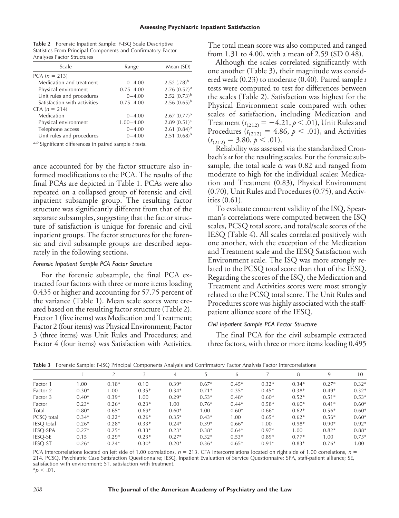| <b>Table 2</b> Forensic Inpatient Sample: F-ISQ Scale Descriptive |
|-------------------------------------------------------------------|
| Statistics From Principal Components and Confirmatory Factor      |
| Analyses Factor Structures                                        |

| Scale                        | Range         | Mean (SD)         |
|------------------------------|---------------|-------------------|
| $PCA (n = 213)$              |               |                   |
| Medication and treatment     | $0 - 4.00$    | $2.52$ $(.78)^b$  |
| Physical environment         | $0.75 - 4.00$ | $2.76(0.57)^a$    |
| Unit rules and procedures    | $0 - 4.00$    | 2.52 $(0.73)^b$   |
| Satisfaction with activities | $0.75 - 4.00$ | 2.56 $(0.65)^b$   |
| $CFA (n = 214)$              |               |                   |
| Medication                   | $0 - 4.00$    | $2.67(0.77)^{b}$  |
| Physical environment         | $1.00 - 4.00$ | $2.89(0.51)^a$    |
| Telephone access             | $0 - 4.00$    | 2.61 $(0.84)^{b}$ |
| Unit rules and procedures    | $0 - 4.00$    | $2.51(0.68)^{b}$  |

*<sup>a</sup>*,*<sup>b</sup>* Significant differences in paired sample *t* tests.

ance accounted for by the factor structure also informed modifications to the PCA. The results of the final PCAs are depicted in Table 1. PCAs were also repeated on a collapsed group of forensic and civil inpatient subsample group. The resulting factor structure was significantly different from that of the separate subsamples, suggesting that the factor structure of satisfaction is unique for forensic and civil inpatient groups. The factor structures for the forensic and civil subsample groups are described separately in the following sections.

#### *Forensic Inpatient Sample PCA Factor Structure*

For the forensic subsample, the final PCA extracted four factors with three or more items loading 0.435 or higher and accounting for 57.75 percent of the variance (Table 1). Mean scale scores were created based on the resulting factor structure (Table 2). Factor 1 (five items) was Medication and Treatment; Factor 2 (four items) was Physical Environment; Factor 3 (three items) was Unit Rules and Procedures; and Factor 4 (four items) was Satisfaction with Activities. The total mean score was also computed and ranged from 1.31 to 4.00, with a mean of 2.59 (SD 0.48).

Although the scales correlated significantly with one another (Table 3), their magnitude was considered weak (0.23) to moderate (0.40). Paired sample *t* tests were computed to test for differences between the scales (Table 2). Satisfaction was highest for the Physical Environment scale compared with other scales of satisfaction, including Medication and Treatment ( $t_{(212)} = -4.21, p < .01$ ), Unit Rules and Procedures ( $t_{(212)} = 4.86$ ,  $p < .01$ ), and Activities  $(t_{(212)} = 3.80, p < .01).$ 

Reliability was assessed via the standardized Cronbach's  $\alpha$  for the resulting scales. For the forensic subsample, the total scale  $\alpha$  was 0.82 and ranged from moderate to high for the individual scales: Medication and Treatment (0.83), Physical Environment (0.70), Unit Rules and Procedures (0.75), and Activities (0.61).

To evaluate concurrent validity of the ISQ, Spearman's correlations were computed between the ISQ scales, PCSQ total score, and total/scale scores of the IESQ (Table 4). All scales correlated positively with one another, with the exception of the Medication and Treatment scale and the IESQ Satisfaction with Environment scale. The ISQ was more strongly related to the PCSQ total score than that of the IESQ. Regarding the scores of the ISQ, the Medication and Treatment and Activities scores were most strongly related to the PCSQ total score. The Unit Rules and Procedures score was highly associated with the staffpatient alliance score of the IESQ.

#### *Civil Inpatient Sample PCA Factor Structure*

The final PCA for the civil subsample extracted three factors, with three or more items loading 0.495

**Table 3** Forensic Sample: F-ISQ Principal Components Analysis and Confirmatory Factor Analysis Factor Intercorrelations

|                |         | <sup>2</sup> |         | 4       |         | 6       |         | 8       | 9       | 10      |
|----------------|---------|--------------|---------|---------|---------|---------|---------|---------|---------|---------|
| Factor 1       | 1.00    | $0.18*$      | 0.10    | $0.39*$ | $0.67*$ | $0.45*$ | $0.32*$ | $0.34*$ | $0.27*$ | $0.32*$ |
| Factor 2       | $0.30*$ | 1.00         | $0.35*$ | $0.34*$ | $0.71*$ | $0.35*$ | $0.45*$ | $0.38*$ | $0.49*$ | $0.32*$ |
| Factor 3       | $0.40*$ | $0.39*$      | 1.00    | $0.29*$ | $0.53*$ | $0.48*$ | $0.60*$ | $0.52*$ | $0.51*$ | $0.53*$ |
| Factor         | $0.23*$ | $0.26*$      | $0.23*$ | 1.00    | $0.76*$ | $0.44*$ | $0.58*$ | $0.60*$ | $0.41*$ | $0.60*$ |
| Total          | $0.80*$ | $0.65*$      | $0.69*$ | $0.60*$ | 1.00    | $0.60*$ | $0.66*$ | $0.62*$ | $0.56*$ | $0.60*$ |
| PCSO total     | $0.34*$ | $0.22*$      | $0.26*$ | $0.35*$ | $0.43*$ | 1.00    | $0.65*$ | $0.62*$ | $0.56*$ | $0.60*$ |
| IESQ total     | $0.26*$ | $0.28*$      | $0.33*$ | $0.24*$ | $0.39*$ | $0.66*$ | 1.00    | $0.98*$ | $0.90*$ | $0.92*$ |
| IESQ-SPA       | $0.27*$ | $0.25*$      | $0.33*$ | $0.23*$ | $0.38*$ | $0.64*$ | $0.97*$ | 1.00    | $0.82*$ | $0.88*$ |
| <b>IESQ-SE</b> | 0.15    | $0.29*$      | $0.23*$ | $0.27*$ | $0.32*$ | $0.53*$ | $0.89*$ | $0.77*$ | 1.00    | $0.75*$ |
| <b>IESO-ST</b> | $0.26*$ | $0.24*$      | $0.30*$ | $0.20*$ | $0.36*$ | $0.65*$ | $0.91*$ | $0.83*$ | $0.76*$ | 1.00    |

PCA intercorrelations located on left side of 1.00 correlations,  $n = 213$ . CFA intercorrelations located on right side of 1.00 correlations,  $n = 213$ . 214. PCSQ, Psychiatric Case Satisfaction Questionnaire; IESQ, Inpatient Evaluation of Service Questionnaire; SPA, staff-patient alliance; SE, satisfaction with environment; ST, satisfaction with treatment.  $*p < .01$ .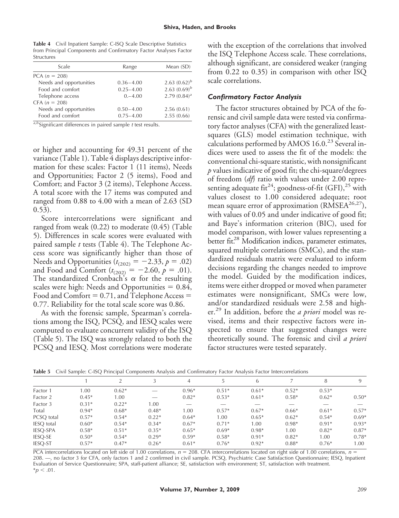**Table 4** Civil Inpatient Sample: C-ISQ Scale Descriptive Statistics from Principal Components and Confirmatory Factor Analyses Factor Structures

| Scale                   | Range         | Mean (SD)       |
|-------------------------|---------------|-----------------|
| $PCA (n = 208)$         |               |                 |
| Needs and opportunities | $0.36 - 4.00$ | 2.63 $(0.62)^b$ |
| Food and comfort        | $0.25 - 4.00$ | 2.63 $(0.69)^b$ |
| Telephone access        | $0,-4.00$     | $2.79(0.84)^a$  |
| $CFA (n = 208)$         |               |                 |
| Needs and opportunities | $0.50 - 4.00$ | 2.56(0.61)      |
| Food and comfort        | $0.75 - 4.00$ | 2.55(0.66)      |

*<sup>a</sup>*,*<sup>b</sup>* Significant differences in paired sample *t* test results.

or higher and accounting for 49.31 percent of the variance (Table 1). Table 4 displays descriptive information for these scales: Factor 1 (11 items), Needs and Opportunities; Factor 2 (5 items), Food and Comfort; and Factor 3 (2 items), Telephone Access. A total score with the 17 items was computed and ranged from 0.88 to 4.00 with a mean of 2.63 (SD 0.53).

Score intercorrelations were significant and ranged from weak (0.22) to moderate (0.45) (Table 5). Differences in scale scores were evaluated with paired sample *t* tests (Table 4). The Telephone Access score was significantly higher than those of Needs and Opportunities ( $t_{(202)} = -2.33, p = .02$ ) and Food and Comfort  $(t_{(202)} = -2.60, p = .01)$ . The standardized Cronbach's  $\alpha$  for the resulting scales were high: Needs and Opportunities  $= 0.84$ , Food and Comfort  $= 0.71$ , and Telephone Access  $=$ 0.77. Reliability for the total scale score was 0.86.

As with the forensic sample, Spearman's correlations among the ISQ, PCSQ, and IESQ scales were computed to evaluate concurrent validity of the ISQ (Table 5). The ISQ was strongly related to both the PCSQ and IESQ. Most correlations were moderate with the exception of the correlations that involved the ISQ Telephone Access scale. These correlations, although significant, are considered weaker (ranging from 0.22 to 0.35) in comparison with other ISQ scale correlations.

#### *Confirmatory Factor Analysis*

The factor structures obtained by PCA of the forensic and civil sample data were tested via confirmatory factor analyses (CFA) with the generalized leastsquares (GLS) model estimation technique, with calculations performed by AMOS 16.0.<sup>23</sup> Several indices were used to assess the fit of the models: the conventional chi-square statistic, with nonsignificant *p* values indicative of good fit; the chi-square/degrees of freedom (*df*) ratio with values under 2.00 representing adequate fit<sup>24</sup>; goodness-of-fit (GFI),<sup>25</sup> with values closest to 1.00 considered adequate; root mean square error of approximation ( $RMSEA<sup>26,27</sup>$ ), with values of 0.05 and under indicative of good fit; and Baye's information criterion (BIC), used for model comparison, with lower values representing a better fit.<sup>28</sup> Modification indices, parameter estimates, squared multiple correlations (SMCs), and the standardized residuals matrix were evaluated to inform decisions regarding the changes needed to improve the model. Guided by the modification indices, items were either dropped or moved when parameter estimates were nonsignificant, SMCs were low, and/or standardized residuals were 2.58 and higher.<sup>29</sup> In addition, before the *a priori* model was revised, items and their respective factors were inspected to ensure that suggested changes were theoretically sound. The forensic and civil *a priori* factor structures were tested separately.

**Table 5** Civil Sample: C-ISQ Principal Components Analysis and Confirmatory Factor Analysis Factor Intercorrelations

|                   |         |         |         | 4       |         | 6       |         | 8       |         |
|-------------------|---------|---------|---------|---------|---------|---------|---------|---------|---------|
| Factor 1          | 1.00    | $0.62*$ | _       | $0.96*$ | $0.51*$ | $0.61*$ | $0.52*$ | $0.53*$ |         |
| Factor 2          | $0.45*$ | 1.00    | _       | $0.82*$ | $0.53*$ | $0.61*$ | $0.58*$ | $0.62*$ | $0.50*$ |
| Factor 3          | $0.31*$ | $0.22*$ | 1.00    | _       |         | __      |         |         |         |
| Total             | $0.94*$ | $0.68*$ | $0.48*$ | 1.00    | $0.57*$ | $0.67*$ | $0.66*$ | $0.61*$ | $0.57*$ |
| PCSO total        | $0.57*$ | $0.54*$ | $0.22*$ | $0.64*$ | 00.1    | $0.65*$ | $0.62*$ | $0.54*$ | $0.69*$ |
| <b>IESO</b> total | $0.60*$ | $0.54*$ | $0.34*$ | $0.67*$ | $0.71*$ | 1.00    | $0.98*$ | $0.91*$ | $0.93*$ |
| <b>IESO-SPA</b>   | $0.58*$ | $0.51*$ | $0.35*$ | $0.65*$ | $0.69*$ | $0.98*$ | 1.00    | $0.82*$ | $0.87*$ |
| <b>IESQ-SE</b>    | $0.50*$ | $0.54*$ | $0.29*$ | $0.59*$ | $0.58*$ | $0.91*$ | $0.82*$ | 1.00    | $0.78*$ |
| <b>IESO-ST</b>    | $0.57*$ | $0.47*$ | $0.26*$ | $0.61*$ | $0.76*$ | $0.92*$ | $0.88*$ | $0.76*$ | 1.00    |

PCA intercorrelations located on left side of 1.00 correlations,  $n = 208$ . CFA intercorrelations located on right side of 1.00 correlations,  $n = 208$ . 208. —, no factor 3 for CFA, only factors 1 and 2 confirmed in civil sample. PCSQ, Psychiatric Case Satisfaction Questionnaire; IESQ, Inpatient Evaluation of Service Questionnaire; SPA, staff-patient alliance; SE, satisfaction with environment; ST, satisfaction with treatment.  $*_{p}$  < .01.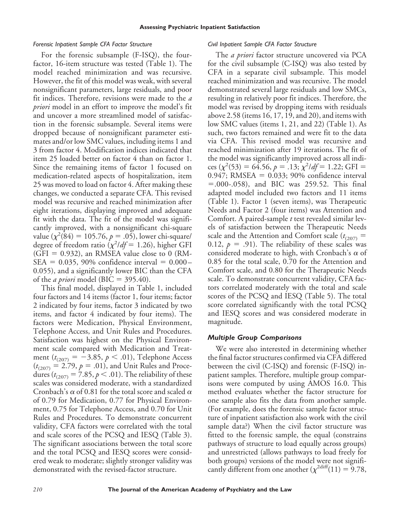#### *Forensic Inpatient Sample CFA Factor Structure*

For the forensic subsample (F-ISQ), the fourfactor, 16-item structure was tested (Table 1). The model reached minimization and was recursive. However, the fit of this model was weak, with several nonsignificant parameters, large residuals, and poor fit indices. Therefore, revisions were made to the *a priori* model in an effort to improve the model's fit and uncover a more streamlined model of satisfaction in the forensic subsample. Several items were dropped because of nonsignificant parameter estimates and/or low SMC values, including items 1 and 3 from factor 4. Modification indices indicated that item 25 loaded better on factor 4 than on factor 1. Since the remaining items of factor 1 focused on medication-related aspects of hospitalization, item 25 was moved to load on factor 4. After making these changes, we conducted a separate CFA. This revised model was recursive and reached minimization after eight iterations, displaying improved and adequate fit with the data. The fit of the model was significantly improved, with a nonsignificant chi-square value  $(\chi^2(84) = 105.76, p = .05)$ , lower chi-square/ degree of freedom ratio  $\left(\chi^2/df = 1.26\right)$ , higher GFI  $(GFI = 0.932)$ , an RMSEA value close to 0 (RM- $SEA = 0.035, 90\%$  confidence interval =  $0.000 -$ 0.055), and a significantly lower BIC than the CFA of the *a priori* model (BIC = 395.40).

This final model, displayed in Table 1, included four factors and 14 items (factor 1, four items; factor 2 indicated by four items, factor 3 indicated by two items, and factor 4 indicated by four items). The factors were Medication, Physical Environment, Telephone Access, and Unit Rules and Procedures. Satisfaction was highest on the Physical Environment scale compared with Medication and Treatment ( $t_{(207)} = -3.85, p < .01$ ), Telephone Access  $(t_{(207)} = 2.79, p = .01)$ , and Unit Rules and Procedures ( $t_{(207)} = 7.85$ ,  $p < .01$ ). The reliability of these scales was considered moderate, with a standardized Cronbach's  $\alpha$  of 0.81 for the total score and scaled  $\alpha$ of 0.79 for Medication, 0.77 for Physical Environment, 0.75 for Telephone Access, and 0.70 for Unit Rules and Procedures. To demonstrate concurrent validity, CFA factors were correlated with the total and scale scores of the PCSQ and IESQ (Table 3). The significant associations between the total score and the total PCSQ and IESQ scores were considered weak to moderate; slightly stronger validity was demonstrated with the revised-factor structure.

#### *Civil Inpatient Sample CFA Factor Structure*

The *a priori* factor structure uncovered via PCA for the civil subsample (C-ISQ) was also tested by CFA in a separate civil subsample. This model reached minimization and was recursive. The model demonstrated several large residuals and low SMCs, resulting in relatively poor fit indices. Therefore, the model was revised by dropping items with residuals above 2.58 (items 16, 17, 19, and 20), and items with low SMC values (items 1, 21, and 22) (Table 1). As such, two factors remained and were fit to the data via CFA. This revised model was recursive and reached minimization after 19 iterations. The fit of the model was significantly improved across all indices  $(\chi^2(53) = 64.56, p = .13; \chi^2/df = 1.22;$  GFI =  $0.947$ ; RMSEA =  $0.033$ ; 90% confidence interval  $= 0.000 - 0.058$ , and BIC was 259.52. This final adapted model included two factors and 11 items (Table 1). Factor 1 (seven items), was Therapeutic Needs and Factor 2 (four items) was Attention and Comfort. A paired-sample *t* test revealed similar levels of satisfaction between the Therapeutic Needs scale and the Attention and Comfort scale  $(t_{(207)}$  = 0.12,  $p = .91$ ). The reliability of these scales was considered moderate to high, with Cronbach's  $\alpha$  of 0.85 for the total scale, 0.70 for the Attention and Comfort scale, and 0.80 for the Therapeutic Needs scale. To demonstrate concurrent validity, CFA factors correlated moderately with the total and scale scores of the PCSQ and IESQ (Table 5). The total score correlated significantly with the total PCSQ and IESQ scores and was considered moderate in magnitude.

#### *Multiple Group Comparisons*

We were also interested in determining whether the final factor structures confirmed via CFA differed between the civil (C-ISQ) and forensic (F-ISQ) inpatient samples. Therefore, multiple group comparisons were computed by using AMOS 16.0. This method evaluates whether the factor structure for one sample also fits the data from another sample. (For example, does the forensic sample factor structure of inpatient satisfaction also work with the civil sample data?) When the civil factor structure was fitted to the forensic sample, the equal (constrains pathways of structure to load equally across groups) and unrestricted (allows pathways to load freely for both groups) versions of the model were not significantly different from one another  $(\chi^{2\text{diff}}(11) = 9.78,$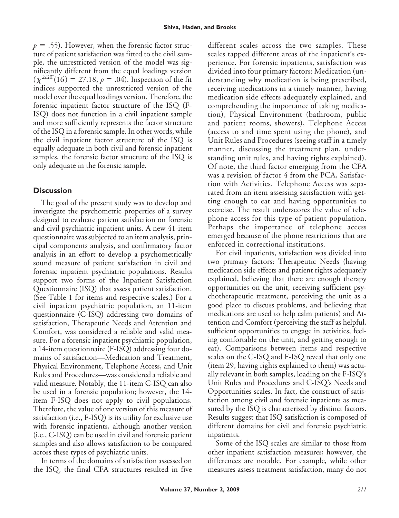$p = .55$ ). However, when the forensic factor structure of patient satisfaction was fitted to the civil sample, the unrestricted version of the model was significantly different from the equal loadings version  $(\chi^{2diff}(16) = 27.18, p = .04)$ . Inspection of the fit indices supported the unrestricted version of the model over the equal loadings version. Therefore, the forensic inpatient factor structure of the ISQ (F-ISQ) does not function in a civil inpatient sample and more sufficiently represents the factor structure of the ISQ in a forensic sample. In other words, while the civil inpatient factor structure of the ISQ is equally adequate in both civil and forensic inpatient samples, the forensic factor structure of the ISQ is only adequate in the forensic sample.

## **Discussion**

The goal of the present study was to develop and investigate the psychometric properties of a survey designed to evaluate patient satisfaction on forensic and civil psychiatric inpatient units. A new 41-item questionnaire was subjected to an item analysis, principal components analysis, and confirmatory factor analysis in an effort to develop a psychometrically sound measure of patient satisfaction in civil and forensic inpatient psychiatric populations. Results support two forms of the Inpatient Satisfaction Questionnaire (ISQ) that assess patient satisfaction. (See Table 1 for items and respective scales.) For a civil inpatient psychiatric population, an 11-item questionnaire (C-ISQ) addressing two domains of satisfaction, Therapeutic Needs and Attention and Comfort, was considered a reliable and valid measure. For a forensic inpatient psychiatric population, a 14-item questionnaire (F-ISQ) addressing four domains of satisfaction—Medication and Treatment, Physical Environment, Telephone Access, and Unit Rules and Procedures—was considered a reliable and valid measure. Notably, the 11-item C-ISQ can also be used in a forensic population; however, the 14 item F-ISQ does not apply to civil populations. Therefore, the value of one version of this measure of satisfaction (i.e., F-ISQ) is its utility for exclusive use with forensic inpatients, although another version (i.e., C-ISQ) can be used in civil and forensic patient samples and also allows satisfaction to be compared across these types of psychiatric units.

In terms of the domains of satisfaction assessed on the ISQ, the final CFA structures resulted in five different scales across the two samples. These scales tapped different areas of the inpatient's experience. For forensic inpatients, satisfaction was divided into four primary factors: Medication (understanding why medication is being prescribed, receiving medications in a timely manner, having medication side effects adequately explained, and comprehending the importance of taking medication), Physical Environment (bathroom, public and patient rooms, showers), Telephone Access (access to and time spent using the phone), and Unit Rules and Procedures (seeing staff in a timely manner, discussing the treatment plan, understanding unit rules, and having rights explained). Of note, the third factor emerging from the CFA was a revision of factor 4 from the PCA, Satisfaction with Activities. Telephone Access was separated from an item assessing satisfaction with getting enough to eat and having opportunities to exercise. The result underscores the value of telephone access for this type of patient population. Perhaps the importance of telephone access emerged because of the phone restrictions that are enforced in correctional institutions.

For civil inpatients, satisfaction was divided into two primary factors: Therapeutic Needs (having medication side effects and patient rights adequately explained, believing that there are enough therapy opportunities on the unit, receiving sufficient psychotherapeutic treatment, perceiving the unit as a good place to discuss problems, and believing that medications are used to help calm patients) and Attention and Comfort (perceiving the staff as helpful, sufficient opportunities to engage in activities, feeling comfortable on the unit, and getting enough to eat). Comparisons between items and respective scales on the C-ISQ and F-ISQ reveal that only one (item 29, having rights explained to them) was actually relevant in both samples, loading on the F-ISQ's Unit Rules and Procedures and C-ISQ's Needs and Opportunities scales. In fact, the construct of satisfaction among civil and forensic inpatients as measured by the ISQ is characterized by distinct factors. Results suggest that ISQ satisfaction is composed of different domains for civil and forensic psychiatric inpatients.

Some of the ISQ scales are similar to those from other inpatient satisfaction measures; however, the differences are notable. For example, while other measures assess treatment satisfaction, many do not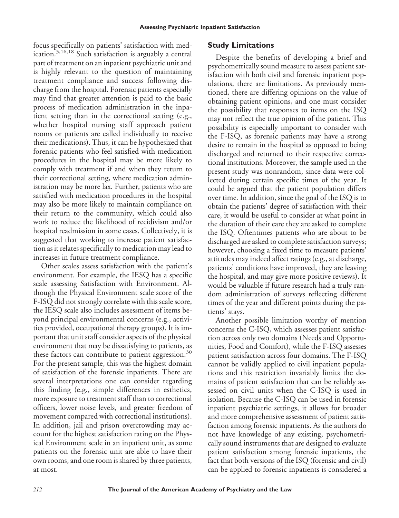focus specifically on patients' satisfaction with medication.3,16,18 Such satisfaction is arguably a central part of treatment on an inpatient psychiatric unit and is highly relevant to the question of maintaining treatment compliance and success following discharge from the hospital. Forensic patients especially may find that greater attention is paid to the basic process of medication administration in the inpatient setting than in the correctional setting (e.g., whether hospital nursing staff approach patient rooms or patients are called individually to receive their medications). Thus, it can be hypothesized that forensic patients who feel satisfied with medication procedures in the hospital may be more likely to comply with treatment if and when they return to their correctional setting, where medication administration may be more lax. Further, patients who are satisfied with medication procedures in the hospital may also be more likely to maintain compliance on their return to the community, which could also work to reduce the likelihood of recidivism and/or hospital readmission in some cases. Collectively, it is suggested that working to increase patient satisfaction as it relates specifically to medication may lead to increases in future treatment compliance.

Other scales assess satisfaction with the patient's environment. For example, the IESQ has a specific scale assessing Satisfaction with Environment. Although the Physical Environment scale score of the F-ISQ did not strongly correlate with this scale score, the IESQ scale also includes assessment of items beyond principal environmental concerns (e.g., activities provided, occupational therapy groups). It is important that unit staff consider aspects of the physical environment that may be dissatisfying to patients, as these factors can contribute to patient aggression.<sup>30</sup> For the present sample, this was the highest domain of satisfaction of the forensic inpatients. There are several interpretations one can consider regarding this finding (e.g., simple differences in esthetics, more exposure to treatment staff than to correctional officers, lower noise levels, and greater freedom of movement compared with correctional institutions). In addition, jail and prison overcrowding may account for the highest satisfaction rating on the Physical Environment scale in an inpatient unit, as some patients on the forensic unit are able to have their own rooms, and one room is shared by three patients, at most.

# **Study Limitations**

Despite the benefits of developing a brief and psychometrically sound measure to assess patient satisfaction with both civil and forensic inpatient populations, there are limitations. As previously mentioned, there are differing opinions on the value of obtaining patient opinions, and one must consider the possibility that responses to items on the ISQ may not reflect the true opinion of the patient. This possibility is especially important to consider with the F-ISQ, as forensic patients may have a strong desire to remain in the hospital as opposed to being discharged and returned to their respective correctional institutions. Moreover, the sample used in the present study was nonrandom, since data were collected during certain specific times of the year. It could be argued that the patient population differs over time. In addition, since the goal of the ISQ is to obtain the patients' degree of satisfaction with their care, it would be useful to consider at what point in the duration of their care they are asked to complete the ISQ. Oftentimes patients who are about to be discharged are asked to complete satisfaction surveys; however, choosing a fixed time to measure patients' attitudes may indeed affect ratings (e.g., at discharge, patients' conditions have improved, they are leaving the hospital, and may give more positive reviews). It would be valuable if future research had a truly random administration of surveys reflecting different times of the year and different points during the patients' stays.

Another possible limitation worthy of mention concerns the C-ISQ, which assesses patient satisfaction across only two domains (Needs and Opportunities, Food and Comfort), while the F-ISQ assesses patient satisfaction across four domains. The F-ISQ cannot be validly applied to civil inpatient populations and this restriction invariably limits the domains of patient satisfaction that can be reliably assessed on civil units when the C-ISQ is used in isolation. Because the C-ISQ can be used in forensic inpatient psychiatric settings, it allows for broader and more comprehensive assessment of patient satisfaction among forensic inpatients. As the authors do not have knowledge of any existing, psychometrically sound instruments that are designed to evaluate patient satisfaction among forensic inpatients, the fact that both versions of the ISQ (forensic and civil) can be applied to forensic inpatients is considered a